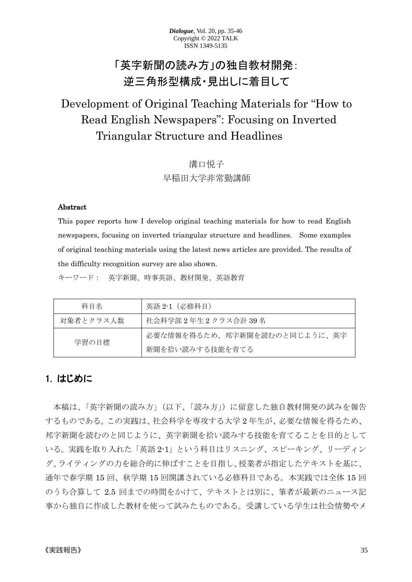# 「英字新聞の読み方」の独自教材開発: 逆三角形型構成・見出しに着目して

# Development of Original Teaching Materials for "How to Read English Newspapers": Focusing on Inverted Triangular Structure and Headlines

# 溝口悦子 早稲田大学非常勤講師

#### Abstract

This paper reports how I develop original teaching materials for how to read English newspapers, focusing on inverted triangular structure and headlines. Some examples of original teaching materials using the latest news articles are provided. The results of the difficulty recognition survey are also shown.

キーワード: 英字新聞、時事英語、教材開発、英語教育

| 科目名       | - 英語 2-1 (必修科目)              |
|-----------|------------------------------|
| 対象者とクラス人数 | 社会科学部2年生2クラス合計 39 名          |
| 学習の目標     | 必要な情報を得るため、邦字新聞を読むのと同じように、英字 |
|           | 新聞を拾い読みする技能を育てる              |

# 1. はじめに

本稿は、「英字新聞の読み方」(以下、「読み方」)に留意した独自教材開発の試みを報告 するものである。この実践は、社会科学を専攻する大学 2 年生が、必要な情報を得るため、 邦字新聞を読むのと同じように、英字新聞を拾い読みする技能を育てることを目的として いる。実践を取り入れた「英語 2-1」という科目はリスニング、スピーキング、リーディン グ、ライティングの力を総合的に伸ばすことを目指し、授業者が指定したテキストを基に、 通年で春学期 15 回、秋学期 15 回開講されている必修科目である。本実践では全体 15 回 のうち合算して 2.5 回までの時間をかけて、テキストとは別に、筆者が最新のニュース記 事から独自に作成した教材を使って試みたものである。受講している学生は社会情勢やメ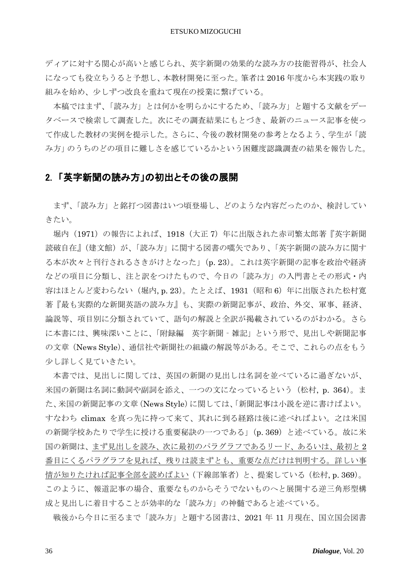ディアに対する関心が高いと感じられ、英字新聞の効果的な読み方の技能習得が、社会人 になっても役立ちうると予想し、本教材開発に至った。筆者は 2016 年度から本実践の取り 組みを始め、少しずつ改良を重ねて現在の授業に繋げている。

本稿ではまず、「読み方」とは何かを明らかにするため、「読み方」と題する文献をデー タベースで検索して調査した。次にその調査結果にもとづき、最新のニュース記事を使っ て作成した教材の実例を提示した。さらに、今後の教材開発の参考となるよう、学生が「読 み方」のうちのどの項目に難しさを感じているかという困難度認識調査の結果を報告した。

# 2. 「英字新聞の読み方」の初出とその後の展開

まず、「読み方」と銘打つ図書はいつ頃登場し、どのような内容だったのか、検討してい きたい。

堀内(1971)の報告によれば、1918(大正7)年に出版された赤司繁太郎著『英字新聞 読破自在』(建文館)が、「読み方」に関する図書の嚆矢であり、「英字新聞の読み方に関す る本が次々と刊行されるさきがけとなった」(p. 23)。これは英字新聞の記事を政治や経済 などの項目に分類し、注と訳をつけたもので、今日の「読み方」の入門書とその形式・内 容はほとんど変わらない (堀内, p. 23)。たとえば、1931 (昭和 6) 年に出版された松村寛 著『最も実際的な新聞英語の読み方』も、実際の新聞記事が、政治、外交、軍事、経済、 論説等、項目別に分類されていて、語句の解説と全訳が掲載されているのがわかる。さら に本書には、興味深いことに、「附録編 英字新聞‐雑記」という形で、見出しや新聞記事 の文章(News Style)、通信社や新聞社の組織の解説等がある。そこで、これらの点をもう 少し詳しく見ていきたい。

本書では、見出しに関しては、英国の新聞の見出しは名詞を並べているに過ぎないが、 米国の新聞は名詞に動詞や副詞を添え、一つの文になっているという(松村, p. 364)。ま た、米国の新聞記事の文章(News Style)に関しては、「新聞記事は小説を逆に書けばよい。 すなわち climax を真っ先に持って来て、其れに到る経路は後に述べればよい。之は米国 の新聞学校あたりで学生に授ける重要秘訣の一つである」(p. 369)と述べている。故に米 国の新聞は、まず見出しを読み、次に最初のパラグラフであるリード、あるいは、最初と 2 番目にくるパラグラフを見れば、残りは読まずとも、重要な点だけは判明する。詳しい事 情が知りたければ記事全部を読めばよい(下線部筆者)と、提案している(松村, p. 369)。 このように、報道記事の場合、重要なものからそうでないものへと展開する逆三角形型構 成と見出しに着目することが効率的な「読み方」の神髄であると述べている。

戦後から今日に至るまで「読み方」と題する図書は、2021 年 11 月現在、国立国会図書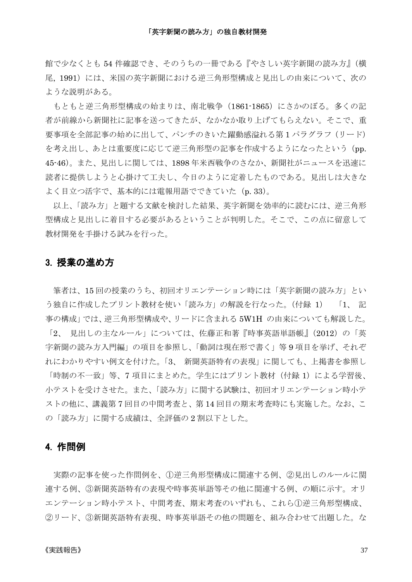#### 「英字新聞の読み方」の独自教材開発

館で少なくとも 54 件確認でき、そのうちの一冊である『やさしい英字新聞の読み方』(横 尾, 1991)には、米国の英字新聞における逆三角形型構成と見出しの由来について、次の ような説明がある。

もともと逆三角形型構成の始まりは、南北戦争(1861-1865)にさかのぼる。多くの記 者が前線から新聞社に記事を送ってきたが、なかなか取り上げてもらえない。そこで、重 要事項を全部記事の始めに出して、パンチのきいた躍動感溢れる第 1 パラグラフ(リード) を考え出し、あとは重要度に応じて逆三角形型の記事を作成するようになったという(pp. 45-46)。また、見出しに関しては、1898 年米西戦争のさなか、新聞社がニュースを迅速に 読者に提供しようと心掛けて工夫し、今日のように定着したものである。見出しは大きな よく目立つ活字で、基本的には電報用語でできていた (p. 33)。

以上、「読み方」と題する文献を検討した結果、英字新聞を効率的に読むには、逆三角形 型構成と見出しに着目する必要があるということが判明した。そこで、この点に留意して 教材開発を手掛ける試みを行った。

### 3. 授業の進め方

筆者は、15 回の授業のうち、初回オリエンテーション時には「英字新聞の読み方」とい う独自に作成したプリント教材を使い「読み方」の解説を行なった。(付録 1) 「1、 記 事の構成」では、逆三角形型構成や、リードに含まれる 5W1H の由来についても解説した。 「2、見出しの主なルール」については、佐藤正和著『時事英語単語帳』(2012)の「英 字新聞の読み方入門編」の項目を参照し、「動詞は現在形で書く」等 9 項目を挙げ、それぞ れにわかりやすい例文を付けた。「3、 新聞英語特有の表現」に関しても、上掲書を参照し 「時制の不一致」等、7 項目にまとめた。学生にはプリント教材(付録 1)による学習後、 小テストを受けさせた。また、「読み方」に関する試験は、初回オリエンテーション時小テ ストの他に、講義第 7 回目の中間考査と、第 14 回目の期末考査時にも実施した。なお、こ の「読み方」に関する成績は、全評価の 2 割以下とした。

### 4. 作問例

実際の記事を使った作問例を、①逆三角形型構成に関連する例、②見出しのルールに関 連する例、③新聞英語特有の表現や時事英単語等その他に関連する例、の順に示す。オリ エンテーション時小テスト、中間考査、期末考査のいずれも、これら①逆三角形型構成、 ②リード、③新聞英語特有表現、時事英単語その他の問題を、組み合わせて出題した。な

#### 《実践報告》 37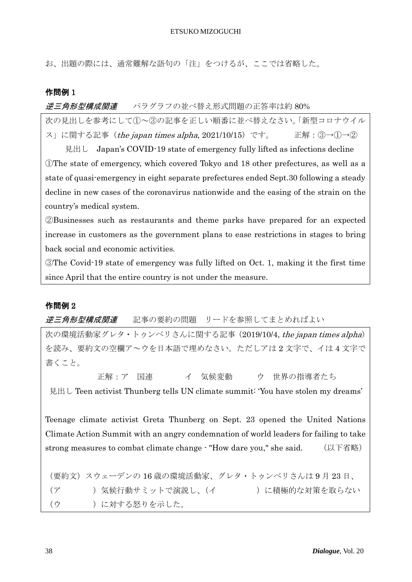お、出題の際には、通常難解な語句の「注」をつけるが、ここでは省略した。

### 作問例 1

逆三角形型構成関連 パラグラフの並べ替え形式問題の正答率は約 80%

次の見出しを参考にして①~③の記事を正しい順番に並べ替えなさい。「新型コロナウイル ス」に関する記事 (the japan times alpha, 2021/10/15) です。 正解: 3→1→2

見出し Japan's COVID-19 state of emergency fully lifted as infections decline ①The state of emergency, which covered Tokyo and 18 other prefectures, as well as a state of quasi-emergency in eight separate prefectures ended Sept.30 following a steady decline in new cases of the coronavirus nationwide and the easing of the strain on the country's medical system.

②Businesses such as restaurants and theme parks have prepared for an expected increase in customers as the government plans to ease restrictions in stages to bring back social and economic activities.

③The Covid-19 state of emergency was fully lifted on Oct. 1, making it the first time since April that the entire country is not under the measure.

## 作問例 2

*逆三角形型構成関連* 記事の要約の問題 リードを参照してまとめればよい

次の環境活動家グレタ・トゥンベリさんに関する記事 (2019/10/4, the japan times alpha) を読み、要約文の空欄ア~ウを日本語で埋めなさい。ただしアは 2 文字で、イは 4 文字で 書くこと。

 正解:ア 国連 イ 気候変動 ウ 世界の指導者たち 見出し Teen activist Thunberg tells UN climate summit: 'You have stolen my dreams'

Teenage climate activist Greta Thunberg on Sept. 23 opened the United Nations Climate Action Summit with an angry condemnation of world leaders for failing to take strong measures to combat climate change - "How dare you," she said. (以下省略)

(要約文)スウェーデンの 16 歳の環境活動家、グレタ・トゥンベリさんは 9 月 23 日、 (ア )気候行動サミットで演説し、(イ )に積極的な対策を取らない (ウ )に対する怒りを示した。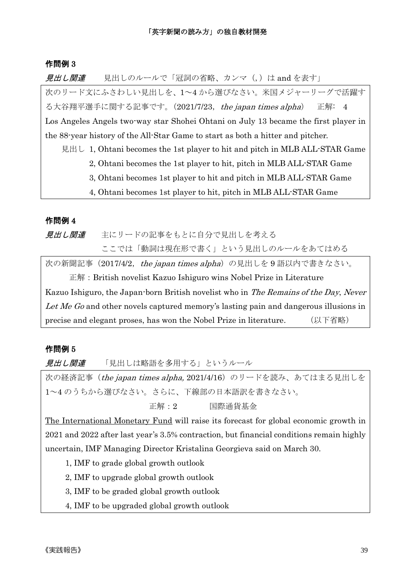### 作問例 3

見出し関連 見出しのルールで「冠詞の省略、カンマ(,)は and を表す」

次のリード文にふさわしい見出しを、1~4 から選びなさい。米国メジャーリーグで活躍す る大谷翔平選手に関する記事です。(2021/7/23, the japan times alpha) 正解: 4 Los Angeles Angels two-way star Shohei Ohtani on July 13 became the first player in the 88-year history of the All-Star Game to start as both a hitter and pitcher.

見出し 1, Ohtani becomes the 1st player to hit and pitch in MLB ALL-STAR Game

- 2, Ohtani becomes the 1st player to hit, pitch in MLB ALL-STAR Game
	- 3, Ohtani becomes 1st player to hit and pitch in MLB ALL-STAR Game
	- 4, Ohtani becomes 1st player to hit, pitch in MLB ALL-STAR Game

### 作問例 4

*見出し関連* 主にリードの記事をもとに自分で見出しを考える ここでは「動詞は現在形で書く」という見出しのルールをあてはめる

次の新聞記事 (2017/4/2, the japan times alpha) の見出しを 9 語以内で書きなさい。 正解:British novelist Kazuo Ishiguro wins Nobel Prize in Literature Kazuo Ishiguro, the Japan-born British novelist who in *The Remains of the Day, Never* Let Me Go and other novels captured memory's lasting pain and dangerous illusions in precise and elegant proses, has won the Nobel Prize in literature. (以下省略)

## 作問例 5

見出し関連 「見出しは略語を多用する」というルール

次の経済記事(*the japan times alpha*, 2021/4/16)のリードを読み、あてはまる見出しを 1~4 のうちから選びなさい。さらに、下線部の日本語訳を書きなさい。

正解:2 国際通貨基金

The International Monetary Fund will raise its forecast for global economic growth in 2021 and 2022 after last year's 3.5% contraction, but financial conditions remain highly uncertain, IMF Managing Director Kristalina Georgieva said on March 30.

1, IMF to grade global growth outlook

2, IMF to upgrade global growth outlook

- 3, IMF to be graded global growth outlook
- 4, IMF to be upgraded global growth outlook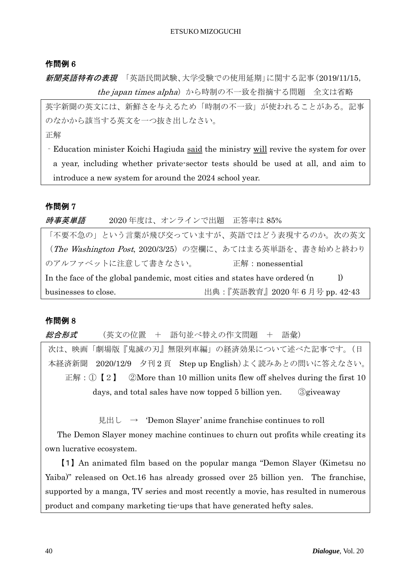#### ETSUKO MIZOGUCHI

### 作問例 6

新聞英語特有の表現 「英語民間試験、大学受験での使用延期」に関する記事(2019/11/15, the japan times alpha)から時制の不一致を指摘する問題 全文は省略

英字新聞の英文には、新鮮さを与えるため「時制の不一致」が使われることがある。記事 のなかから該当する英文を一つ抜き出しなさい。

正解

‐Education minister Koichi Hagiuda said the ministry will revive the system for over a year, including whether private-sector tests should be used at all, and aim to introduce a new system for around the 2024 school year.

### 作問例 7

時事英単語 2020 年度は、オンラインで出題 正答率は 85%

「不要不急の」という言葉が飛び交っていますが、英語ではどう表現するのか。次の英文 (The Washington Post, 2020/3/25)の空欄に、あてはまる英単語を、書き始めと終わり のアルファベットに注意して書きなさい。 正解:nonessential In the face of the global pandemic, most cities and states have ordered  $(n \t l)$ businesses to close. <br>
https://www.flipherage.com/displayers/induced/setter/induced/setter/induced/setter/induced/setter/induced/setter/induced/setter/induced/setter/induced/setter/induced/setter/induced/setter/induced/se

### 作問例 8

総合形式 (英文の位置 + 語句並べ替えの作文問題 + 語彙)

次は、映画「劇場版『鬼滅の刃』無限列車編」の経済効果について述べた記事です。(日 本経済新聞 2020/12/9 夕刊 2 頁 Step up English)よく読みあとの問いに答えなさい。 正解: ①【2】 ②More than 10 million units flew off shelves during the first 10 days, and total sales have now topped 5 billion yen. ③giveaway

見出し  $\rightarrow$  'Demon Slayer' anime franchise continues to roll

The Demon Slayer money machine continues to churn out profits while creating its own lucrative ecosystem.

【1】An animated film based on the popular manga "Demon Slayer (Kimetsu no Yaiba)" released on Oct.16 has already grossed over 25 billion yen. The franchise, supported by a manga, TV series and most recently a movie, has resulted in numerous product and company marketing tie-ups that have generated hefty sales.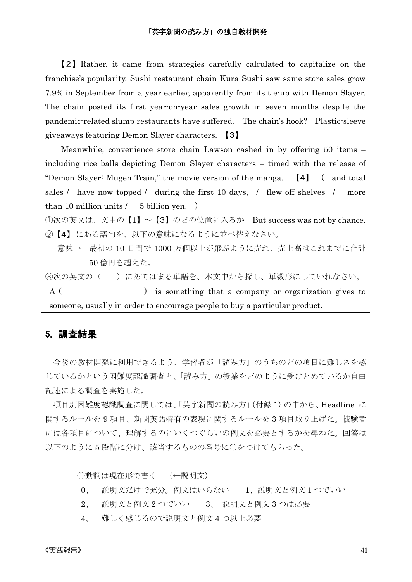【2】Rather, it came from strategies carefully calculated to capitalize on the franchise's popularity. Sushi restaurant chain Kura Sushi saw same-store sales grow 7.9% in September from a year earlier, apparently from its tie-up with Demon Slayer. The chain posted its first year-on-year sales growth in seven months despite the pandemic-related slump restaurants have suffered. The chain's hook? Plastic-sleeve giveaways featuring Demon Slayer characters. 【3】

Meanwhile, convenience store chain Lawson cashed in by offering 50 items – including rice balls depicting Demon Slayer characters – timed with the release of "Demon Slayer: Mugen Train," the movie version of the manga. 【4】 ( and total sales / have now topped / during the first 10 days, / flew off shelves / more than 10 million units  $/$  5 billion yen.  $)$ 

①次の英文は、文中の【1】~【3】のどの位置に入るか But success was not by chance. ②【4】 にある語句を、以下の意味になるように並べ替えなさい。

 意味→ 最初の 10 日間で 1000 万個以上が飛ぶように売れ、売上高はこれまでに合計 50 億円を超えた。

③次の英文の( )にあてはまる単語を、本文中から探し、単数形にしていれなさい。 A ( ) is something that a company or organization gives to someone, usually in order to encourage people to buy a particular product.

### 5. 調査結果

今後の教材開発に利用できるよう、学習者が「読み方」のうちのどの項目に難しさを感 じているかという困難度認識調査と、「読み方」の授業をどのように受けとめているか自由 記述による調査を実施した。

項目別困難度認識調査に関しては、「英字新聞の読み方」(付録 1)の中から、Headline に 関するルールを 9 項目、新聞英語特有の表現に関するルールを 3 項目取り上げた。被験者 には各項目について、理解するのにいくつぐらいの例文を必要とするかを尋ねた。回答は 以下のように5段階に分け、該当するものの番号に○をつけてもらった。

①動詞は現在形で書く (←説明文)

- 0、 説明文だけで充分。例文はいらない 1、説明文と例文 1 つでいい
- 2、 説明文と例文 2 つでいい 3、 説明文と例文 3 つは必要
- 4、 難しく感じるので説明文と例文 4 つ以上必要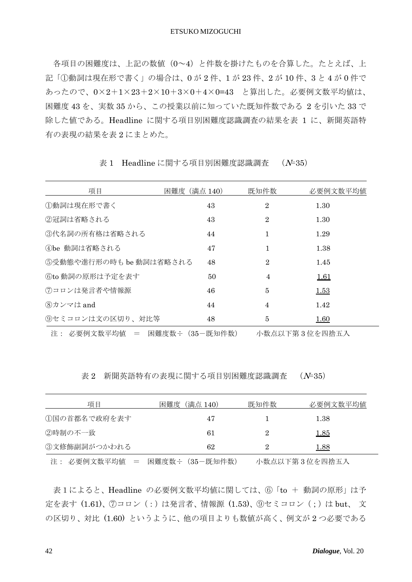各項目の困難度は、上記の数値(0~4)と件数を掛けたものを合算した。たとえば、上 記「①動詞は現在形で書く」の場合は、0 が 2 件、1 が 23 件、2 が 10 件、3 と 4 が 0 件で あったので、0×2+1×23+2×10+3×0+4×0=43 と算出した。必要例文数平均値は、 困難度 43 を、実数 35 から、この授業以前に知っていた既知件数である 2 を引いた 33 で 除した値である。Headline に関する項目別困難度認識調査の結果を表 1 に、新聞英語特 有の表現の結果を表 2 にまとめた。

| 項目                           | (満点 140)<br>困難度 | 既知件数           | 必要例文数平均值      |
|------------------------------|-----------------|----------------|---------------|
| ①動詞は現在形で書く                   | 43              | $\overline{2}$ | 1.30          |
| ②冠詞は省略される                    | 43              | $\overline{2}$ | 1.30          |
| ③代名詞の所有格は省略される               | 44              | 1              | 1.29          |
| ④be 動詞は省略される                 | 47              |                | 1.38          |
| 5受動熊や進行形の時もbe動詞は省略される        | 48              | $\overline{2}$ | 1.45          |
| 6to 動詞の原形は予定を表す              | 50              | 4              | <u>1.61</u>   |
| ⑦コロンは発言者や情報源                 | 46              | 5              | <u>1.53</u>   |
| 8カンマは and                    | 44              | 4              | 1.42          |
| (9)セミコロンは文の区切り、対比等           | 48              | 5              | 1.60          |
| 注: 必要例文数平均値 = 困難度数÷(35-既知件数) |                 |                | 小数点以下第3位を四捨五入 |

表 1 Headline に関する項目別困難度認識調査 ( $N=35$ )

表 2 新聞英語特有の表現に関する項目別困難度認識調査 (N=35)

| 項目           | 困難度<br>(満点 140) | 既知件数 | 必要例文数平均值    |
|--------------|-----------------|------|-------------|
| 1国の首都名で政府を表す | 47              |      | 1.38        |
| ②時制の不一致      | 61              | 2    | <u>1.85</u> |
| ③文修飾副詞がつかわれる | 62              |      | 1.88        |
| $\sim$       |                 |      |             |

注: 必要例文数平均値 = 困難度数÷(35-既知件数) 小数点以下第 3 位を四捨五入

表1によると、Headline の必要例文数平均値に関しては、⑥「to + 動詞の原形」は予 定を表す (1.61)、 ⑦コロン (:)は発言者、情報源 (1.53)、 ⑨セミコロン (;)は but、 文 の区切り、対比 (1.60) というように、他の項目よりも数値が高く、例文が 2 つ必要である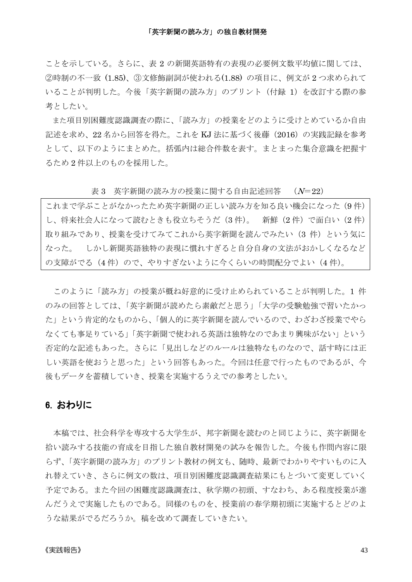#### 「英字新聞の読み方」の独自教材開発

ことを示している。さらに、表 2 の新聞英語特有の表現の必要例文数平均値に関しては、 ②時制の不一致 (1.85)、③文修飾副詞が使われる(1.88) の項目に、例文が 2 つ求められて いることが判明した。今後「英字新聞の読み方」のプリント(付録 1)を改訂する際の参 考としたい。

また項目別困難度認識調査の際に、「読み方」の授業をどのように受けとめているか自由 記述を求め、22 名から回答を得た。これを KJ 法に基づく後藤 (2016) の実践記録を参考 として、以下のようにまとめた。括弧内は総合件数を表す。まとまった集合意識を把握す るため 2 件以上のものを採用した。

表 3 英字新聞の読み方の授業に関する自由記述回答 (N=22)

これまで学ぶことがなかったため英字新聞の正しい読み方を知る良い機会になった(9件) し、将来社会人になって読むときも役立ちそうだ(3 件)。 新鮮(2 件)で面白い(2 件) 取り組みであり、授業を受けてみてこれから英字新聞を読んでみたい(3件)という気に なった。 しかし新聞英語独特の表現に慣れすぎると自分自身の文法がおかしくなるなど の支障がでる(4件)ので、やりすぎないように今くらいの時間配分でよい(4件)。

このように「読み方」の授業が概ね好意的に受け止められていることが判明した。1 件 のみの回答としては、「英字新聞が読めたら素敵だと思う」「大学の受験勉強で習いたかっ た」という肯定的なものから、「個人的に英字新聞を読んでいるので、わざわざ授業でやら なくても事足りている」「英字新聞で使われる英語は独特なのであまり興味がない」という 否定的な記述もあった。さらに「見出しなどのルールは独特なものなので、話す時には正 しい英語を使おうと思った」という回答もあった。今回は任意で行ったものであるが、今 後もデータを蓄積していき、授業を実施するうえでの参考としたい。

### 6. おわりに

本稿では、社会科学を専攻する大学生が、邦字新聞を読むのと同じように、英字新聞を 拾い読みする技能の育成を目指した独自教材開発の試みを報告した。今後も作問内容に限 らず、「英字新聞の読み方」のプリント教材の例文も、随時、最新でわかりやすいものに入 れ替えていき、さらに例文の数は、項目別困難度認識調査結果にもとづいて変更していく 予定である。また今回の困難度認識調査は、秋学期の初頭、すなわち、ある程度授業が進 んだうえで実施したものである。同様のものを、授業前の春学期初頭に実施するとどのよ うな結果がでるだろうか。稿を改めて調査していきたい。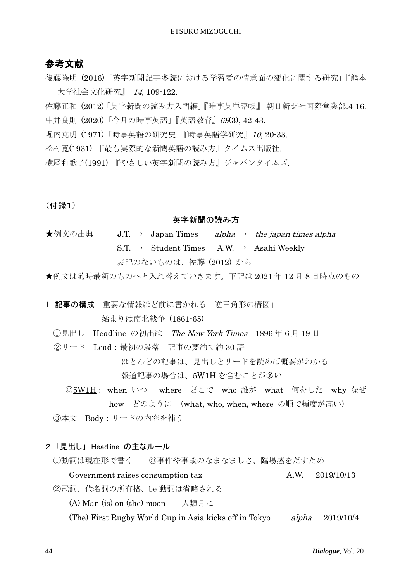# 参考文献

後藤隆明 (2016)「英字新聞記事多読における学習者の情意面の変化に関する研究」『熊本 大学社会文化研究』 <sup>14</sup>, 109-122.

佐藤正和 (2012)「英字新聞の読み方入門編」『時事英単語帳』 朝日新聞社国際営業部.4-16. 中井良則 (2020)「今月の時事英語」『英語教育』69(3), 42-43.

堀内克明 (1971)「時事英語の研究史」『時事英語学研究』10, 20-33.

松村寛(1931) 『最も実際的な新聞英語の読み方』タイムス出版社.

横尾和歌子(1991) 『やさしい英字新聞の読み方』ジャパンタイムズ.

(付録1)

#### 英字新聞の読み方

★例文の出典 J.T. → Japan Times alpha → the japan times alpha S.T. → Student Times A.W. → Asahi Weekly 表記のないものは、佐藤 (2012) から

★例文は随時最新のものへと入れ替えていきます。下記は 2021 年 12 月 8 日時点のもの

1. 記事の構成 重要な情報ほど前に書かれる「逆三角形の構図」 始まりは南北戦争 (1861-65)

- ①見出し Headline の初出は The New York Times 1896 年 6 月 19 日
- ②リード Lead:最初の段落 記事の要約で約 30 語

ほとんどの記事は、見出しとリードを読めば概要がわかる

報道記事の場合は、5W1H を含むことが多い

◎5W1H: when いつ where どこで who 誰が what 何をした why なぜ how どのように (what, who, when, where の順で頻度が高い)

③本文 Body:リードの内容を補う

2.「見出し」 Headline の主なルール

①動詞は現在形で書く ◎事件や事故のなまなましさ、臨場感をだすため

Government raises consumption tax  $A.W. 2019/10/13$ 

②冠詞、代名詞の所有格、be 動詞は省略される

(A) Man (is) on (the) moon 人類月に

(The) First Rugby World Cup in Asia kicks off in Tokyo alpha 2019/10/4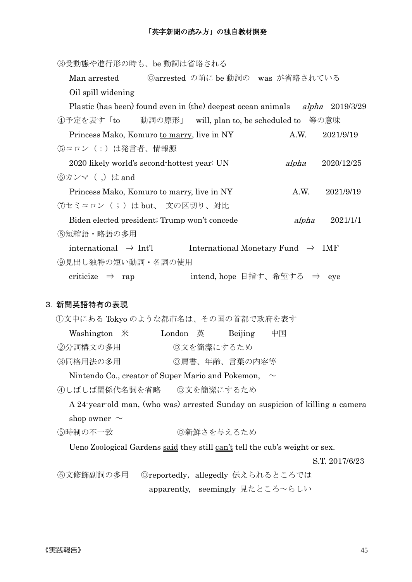### 「英字新聞の読み方」の独自教材開発

③受動態や進行形の時も、be 動詞は省略される Man arrested ©arrested の前に be 動詞の was が省略されている Oil spill widening Plastic (has been) found even in (the) deepest ocean animals alpha 2019/3/29 ④予定を表す「to + 動詞の原形」 will, plan to, be scheduled to 等の意味 Princess Mako, Komuro to marry, live in NY A.W. 2021/9/19 ⑤コロン(:)は発言者、情報源 2020 likely world's second-hottest year: UN alpha 2020/12/25 ⑥カンマ( ,)は and Princess Mako, Komuro to marry, live in NY A.W. 2021/9/19 ⑦セミコロン( ; )は but、 文の区切り、対比 Biden elected president; Trump won't concede alpha 2021/1/1 ⑧短縮語・略語の多用 international ⇒ Int'l International Monetary Fund ⇒ IMF ⑨見出し独特の短い動詞・名詞の使用 criticize ⇒ rap intend, hope 目指す、希望する ⇒ eye

### 3. 新聞英語特有の表現

①文中にある Tokyo のような都市名は、その国の首都で政府を表す

| Washington $*$ | London 英   | Beijing | 中国 |
|----------------|------------|---------|----|
| ②分詞構文の多用       | ◎文を簡潔にするため |         |    |

③同格用法の多用 ◎ ◎肩書、年齢、言葉の内容等

Nintendo Co., creator of Super Mario and Pokemon,  $\sim$ 

④しばしば関係代名詞を省略 ◎文を簡潔にするため

 A 24-year-old man, (who was) arrested Sunday on suspicion of killing a camera shop owner  $\sim$ 

```
⑤時制の不一致 ◎ ◎新鮮さを与えるため
```
Ueno Zoological Gardens said they still can't tell the cub's weight or sex.

S.T. 2017/6/23

⑥文修飾副詞の多用 ◎reportedly,allegedly 伝えられるところでは apparently, seemingly 見たところ~らしい